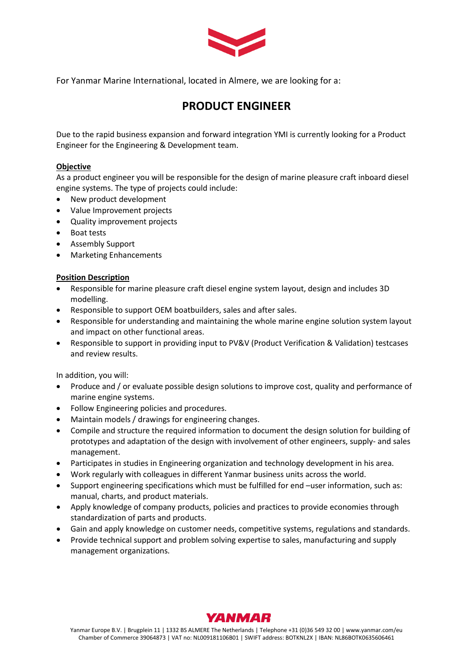

For Yanmar Marine International, located in Almere, we are looking for a:

# **PRODUCT ENGINEER**

Due to the rapid business expansion and forward integration YMI is currently looking for a Product Engineer for the Engineering & Development team.

## **Objective**

As a product engineer you will be responsible for the design of marine pleasure craft inboard diesel engine systems. The type of projects could include:

- New product development
- Value Improvement projects
- Quality improvement projects
- Boat tests
- Assembly Support
- Marketing Enhancements

### **Position Description**

- Responsible for marine pleasure craft diesel engine system layout, design and includes 3D modelling.
- Responsible to support OEM boatbuilders, sales and after sales.
- Responsible for understanding and maintaining the whole marine engine solution system layout and impact on other functional areas.
- Responsible to support in providing input to PV&V (Product Verification & Validation) testcases and review results.

In addition, you will:

- Produce and / or evaluate possible design solutions to improve cost, quality and performance of marine engine systems.
- Follow Engineering policies and procedures.
- Maintain models / drawings for engineering changes.
- Compile and structure the required information to document the design solution for building of prototypes and adaptation of the design with involvement of other engineers, supply- and sales management.
- Participates in studies in Engineering organization and technology development in his area.
- Work regularly with colleagues in different Yanmar business units across the world.
- Support engineering specifications which must be fulfilled for end –user information, such as: manual, charts, and product materials.
- Apply knowledge of company products, policies and practices to provide economies through standardization of parts and products.
- Gain and apply knowledge on customer needs, competitive systems, regulations and standards.
- Provide technical support and problem solving expertise to sales, manufacturing and supply management organizations.